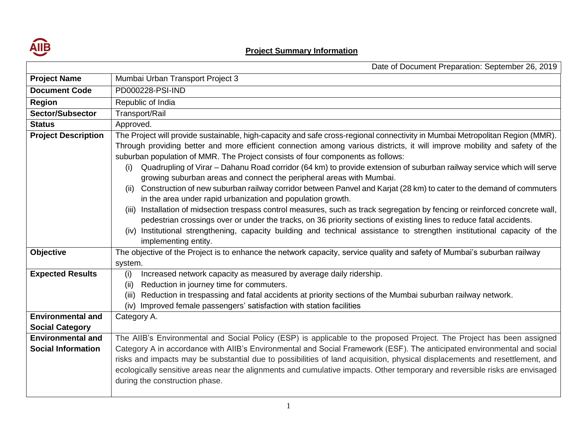

## **Project Summary Information**

|                            | Date of Document Preparation: September 26, 2019                                                                                                                                                     |  |  |  |  |  |
|----------------------------|------------------------------------------------------------------------------------------------------------------------------------------------------------------------------------------------------|--|--|--|--|--|
| <b>Project Name</b>        | Mumbai Urban Transport Project 3                                                                                                                                                                     |  |  |  |  |  |
| <b>Document Code</b>       | PD000228-PSI-IND                                                                                                                                                                                     |  |  |  |  |  |
| <b>Region</b>              | Republic of India                                                                                                                                                                                    |  |  |  |  |  |
| <b>Sector/Subsector</b>    | Transport/Rail                                                                                                                                                                                       |  |  |  |  |  |
| <b>Status</b>              | Approved.                                                                                                                                                                                            |  |  |  |  |  |
| <b>Project Description</b> | The Project will provide sustainable, high-capacity and safe cross-regional connectivity in Mumbai Metropolitan Region (MMR).                                                                        |  |  |  |  |  |
|                            | Through providing better and more efficient connection among various districts, it will improve mobility and safety of the                                                                           |  |  |  |  |  |
|                            | suburban population of MMR. The Project consists of four components as follows:                                                                                                                      |  |  |  |  |  |
|                            | Quadrupling of Virar – Dahanu Road corridor (64 km) to provide extension of suburban railway service which will serve<br>(i)<br>growing suburban areas and connect the peripheral areas with Mumbai. |  |  |  |  |  |
|                            | Construction of new suburban railway corridor between Panvel and Karjat (28 km) to cater to the demand of commuters<br>(ii)<br>in the area under rapid urbanization and population growth.           |  |  |  |  |  |
|                            | (iii) Installation of midsection trespass control measures, such as track segregation by fencing or reinforced concrete wall,                                                                        |  |  |  |  |  |
|                            | pedestrian crossings over or under the tracks, on 36 priority sections of existing lines to reduce fatal accidents.                                                                                  |  |  |  |  |  |
|                            | (iv) Institutional strengthening, capacity building and technical assistance to strengthen institutional capacity of the                                                                             |  |  |  |  |  |
|                            | implementing entity.                                                                                                                                                                                 |  |  |  |  |  |
| <b>Objective</b>           | The objective of the Project is to enhance the network capacity, service quality and safety of Mumbai's suburban railway                                                                             |  |  |  |  |  |
|                            | system.                                                                                                                                                                                              |  |  |  |  |  |
| <b>Expected Results</b>    | Increased network capacity as measured by average daily ridership.<br>(i)                                                                                                                            |  |  |  |  |  |
|                            | Reduction in journey time for commuters.<br>(ii)                                                                                                                                                     |  |  |  |  |  |
|                            | Reduction in trespassing and fatal accidents at priority sections of the Mumbai suburban railway network.<br>(iii)                                                                                   |  |  |  |  |  |
|                            | (iv) Improved female passengers' satisfaction with station facilities                                                                                                                                |  |  |  |  |  |
| <b>Environmental and</b>   | Category A.                                                                                                                                                                                          |  |  |  |  |  |
| <b>Social Category</b>     |                                                                                                                                                                                                      |  |  |  |  |  |
| <b>Environmental and</b>   | The AIIB's Environmental and Social Policy (ESP) is applicable to the proposed Project. The Project has been assigned                                                                                |  |  |  |  |  |
| <b>Social Information</b>  | Category A in accordance with AIIB's Environmental and Social Framework (ESF). The anticipated environmental and social                                                                              |  |  |  |  |  |
|                            | risks and impacts may be substantial due to possibilities of land acquisition, physical displacements and resettlement, and                                                                          |  |  |  |  |  |
|                            | ecologically sensitive areas near the alignments and cumulative impacts. Other temporary and reversible risks are envisaged                                                                          |  |  |  |  |  |
|                            | during the construction phase.                                                                                                                                                                       |  |  |  |  |  |
|                            |                                                                                                                                                                                                      |  |  |  |  |  |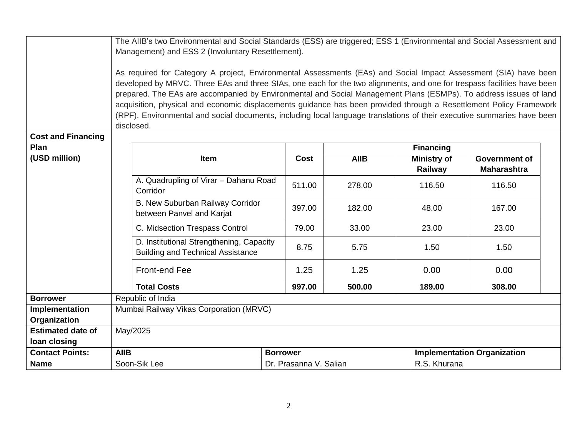|                                   | The AIIB's two Environmental and Social Standards (ESS) are triggered; ESS 1 (Environmental and Social Assessment and<br>Management) and ESS 2 (Involuntary Resettlement). |                                                                                                                                                                                                                                                                                                                                                                                                                                                                                                                                                                                                                                  |                 |                        |             |                               |                                            |  |
|-----------------------------------|----------------------------------------------------------------------------------------------------------------------------------------------------------------------------|----------------------------------------------------------------------------------------------------------------------------------------------------------------------------------------------------------------------------------------------------------------------------------------------------------------------------------------------------------------------------------------------------------------------------------------------------------------------------------------------------------------------------------------------------------------------------------------------------------------------------------|-----------------|------------------------|-------------|-------------------------------|--------------------------------------------|--|
|                                   |                                                                                                                                                                            | As required for Category A project, Environmental Assessments (EAs) and Social Impact Assessment (SIA) have been<br>developed by MRVC. Three EAs and three SIAs, one each for the two alignments, and one for trespass facilities have been<br>prepared. The EAs are accompanied by Environmental and Social Management Plans (ESMPs). To address issues of land<br>acquisition, physical and economic displacements guidance has been provided through a Resettlement Policy Framework<br>(RPF). Environmental and social documents, including local language translations of their executive summaries have been<br>disclosed. |                 |                        |             |                               |                                            |  |
| <b>Cost and Financing</b><br>Plan | <b>Financing</b>                                                                                                                                                           |                                                                                                                                                                                                                                                                                                                                                                                                                                                                                                                                                                                                                                  |                 |                        |             |                               |                                            |  |
| (USD million)                     |                                                                                                                                                                            | Item                                                                                                                                                                                                                                                                                                                                                                                                                                                                                                                                                                                                                             |                 | Cost                   | <b>AIIB</b> | <b>Ministry of</b><br>Railway | <b>Government of</b><br><b>Maharashtra</b> |  |
|                                   |                                                                                                                                                                            | A. Quadrupling of Virar - Dahanu Road<br>Corridor                                                                                                                                                                                                                                                                                                                                                                                                                                                                                                                                                                                |                 | 511.00                 | 278.00      | 116.50                        | 116.50                                     |  |
|                                   |                                                                                                                                                                            | B. New Suburban Railway Corridor<br>between Panvel and Karjat                                                                                                                                                                                                                                                                                                                                                                                                                                                                                                                                                                    |                 | 397.00                 | 182.00      | 48.00                         | 167.00                                     |  |
|                                   |                                                                                                                                                                            | C. Midsection Trespass Control                                                                                                                                                                                                                                                                                                                                                                                                                                                                                                                                                                                                   |                 | 79.00                  | 33.00       | 23.00                         | 23.00                                      |  |
|                                   |                                                                                                                                                                            | D. Institutional Strengthening, Capacity<br><b>Building and Technical Assistance</b>                                                                                                                                                                                                                                                                                                                                                                                                                                                                                                                                             |                 | 8.75                   | 5.75        | 1.50                          | 1.50                                       |  |
|                                   |                                                                                                                                                                            | Front-end Fee                                                                                                                                                                                                                                                                                                                                                                                                                                                                                                                                                                                                                    |                 | 1.25                   | 1.25        | 0.00                          | 0.00                                       |  |
|                                   |                                                                                                                                                                            | <b>Total Costs</b>                                                                                                                                                                                                                                                                                                                                                                                                                                                                                                                                                                                                               |                 | 997.00                 | 500.00      | 189.00                        | 308.00                                     |  |
| <b>Borrower</b>                   | Republic of India                                                                                                                                                          |                                                                                                                                                                                                                                                                                                                                                                                                                                                                                                                                                                                                                                  |                 |                        |             |                               |                                            |  |
| Implementation                    | Mumbai Railway Vikas Corporation (MRVC)                                                                                                                                    |                                                                                                                                                                                                                                                                                                                                                                                                                                                                                                                                                                                                                                  |                 |                        |             |                               |                                            |  |
| Organization                      |                                                                                                                                                                            |                                                                                                                                                                                                                                                                                                                                                                                                                                                                                                                                                                                                                                  |                 |                        |             |                               |                                            |  |
| <b>Estimated date of</b>          | May/2025                                                                                                                                                                   |                                                                                                                                                                                                                                                                                                                                                                                                                                                                                                                                                                                                                                  |                 |                        |             |                               |                                            |  |
| loan closing                      |                                                                                                                                                                            |                                                                                                                                                                                                                                                                                                                                                                                                                                                                                                                                                                                                                                  |                 |                        |             |                               |                                            |  |
| <b>Contact Points:</b>            | <b>AIIB</b>                                                                                                                                                                |                                                                                                                                                                                                                                                                                                                                                                                                                                                                                                                                                                                                                                  | <b>Borrower</b> |                        |             |                               | <b>Implementation Organization</b>         |  |
| <b>Name</b>                       | Soon-Sik Lee                                                                                                                                                               |                                                                                                                                                                                                                                                                                                                                                                                                                                                                                                                                                                                                                                  |                 | Dr. Prasanna V. Salian |             | R.S. Khurana                  |                                            |  |